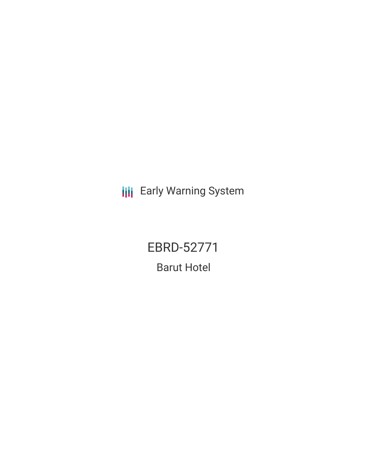**III** Early Warning System

EBRD-52771 Barut Hotel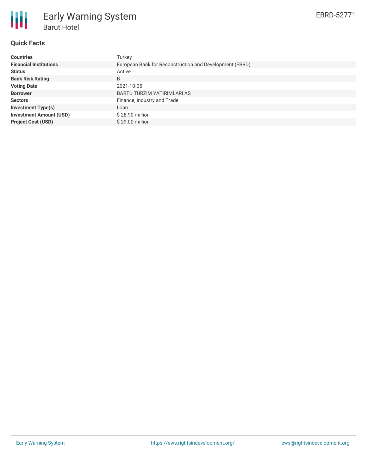

# **Quick Facts**

| <b>Countries</b>               | Turkey                                                  |  |  |  |  |
|--------------------------------|---------------------------------------------------------|--|--|--|--|
|                                |                                                         |  |  |  |  |
| <b>Financial Institutions</b>  | European Bank for Reconstruction and Development (EBRD) |  |  |  |  |
| <b>Status</b>                  | Active                                                  |  |  |  |  |
| <b>Bank Risk Rating</b>        | B                                                       |  |  |  |  |
| <b>Voting Date</b>             | 2021-10-05                                              |  |  |  |  |
| <b>Borrower</b>                | BARTU TURZIM YATIRIMLARI AS                             |  |  |  |  |
| <b>Sectors</b>                 | Finance, Industry and Trade                             |  |  |  |  |
| <b>Investment Type(s)</b>      | Loan                                                    |  |  |  |  |
| <b>Investment Amount (USD)</b> | \$28.90 million                                         |  |  |  |  |
| <b>Project Cost (USD)</b>      | \$29.00 million                                         |  |  |  |  |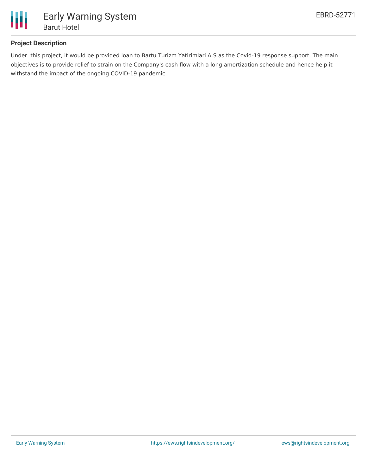

## **Project Description**

Under this project, it would be provided loan to Bartu Turizm Yatirimlari A.S as the Covid-19 response support. The main objectives is to provide relief to strain on the Company's cash flow with a long amortization schedule and hence help it withstand the impact of the ongoing COVID-19 pandemic.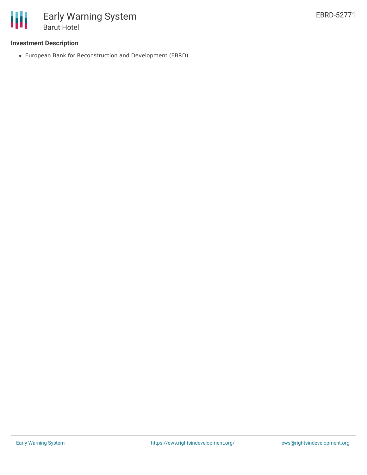

### **Investment Description**

European Bank for Reconstruction and Development (EBRD)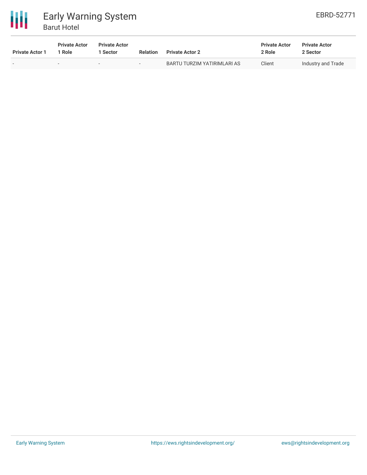



| <b>Private Actor 1</b> | <b>Private Actor</b><br><sup>1</sup> Role | <b>Private Actor</b><br>l Sector. | <b>Relation</b> | <b>Private Actor 2</b>      | <b>Private Actor</b><br>2 Role | <b>Private Actor</b><br>2 Sector |
|------------------------|-------------------------------------------|-----------------------------------|-----------------|-----------------------------|--------------------------------|----------------------------------|
|                        | $\overline{\phantom{a}}$                  | $\overline{\phantom{a}}$          |                 | BARTU TURZIM YATIRIMLARI AS | Client                         | Industry and Trade               |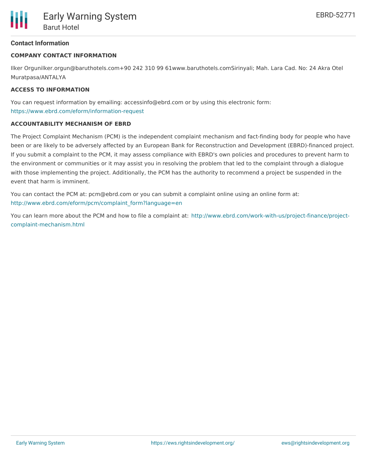## **Contact Information**

#### **COMPANY CONTACT INFORMATION**

Ilker Orgunilker.orgun@baruthotels.com+90 242 310 99 61www.baruthotels.comSirinyali; Mah. Lara Cad. No: 24 Akra Otel Muratpasa/ANTALYA

#### **ACCESS TO INFORMATION**

You can request information by emailing: accessinfo@ebrd.com or by using this electronic form: <https://www.ebrd.com/eform/information-request>

#### **ACCOUNTABILITY MECHANISM OF EBRD**

The Project Complaint Mechanism (PCM) is the independent complaint mechanism and fact-finding body for people who have been or are likely to be adversely affected by an European Bank for Reconstruction and Development (EBRD)-financed project. If you submit a complaint to the PCM, it may assess compliance with EBRD's own policies and procedures to prevent harm to the environment or communities or it may assist you in resolving the problem that led to the complaint through a dialogue with those implementing the project. Additionally, the PCM has the authority to recommend a project be suspended in the event that harm is imminent.

You can contact the PCM at: pcm@ebrd.com or you can submit a complaint online using an online form at: [http://www.ebrd.com/eform/pcm/complaint\\_form?language=en](http://www.ebrd.com/eform/pcm/complaint_form?language=en)

You can learn more about the PCM and how to file a complaint at: [http://www.ebrd.com/work-with-us/project-finance/project](http://www.ebrd.com/work-with-us/project-finance/project-complaint-mechanism.html)complaint-mechanism.html